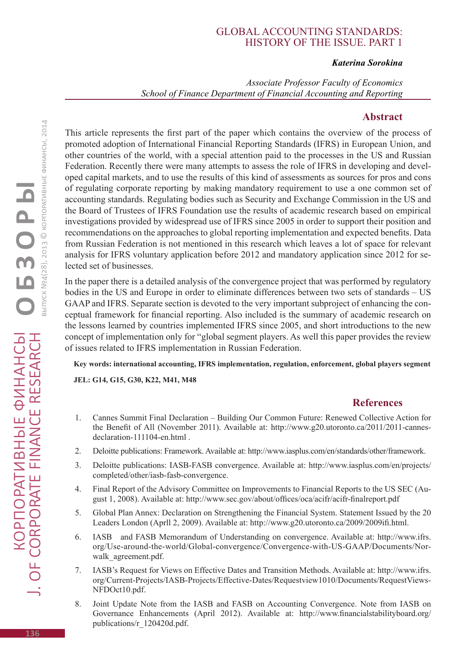## Global accounting standards: history of the issue. Part 1

## *Katerina Sorokina*

*Associate Professor Faculty of Economics School of Finance Department of Financial Accounting and Reporting*

## **Abstract**

This article represents the first part of the paper which contains the overview of the process of promoted adoption of International Financial Reporting Standards (IFRS) in European Union, and other countries of the world, with a special attention paid to the processes in the US and Russian Federation. Recently there were many attempts to assess the role of IFRS in developing and developed capital markets, and to use the results of this kind of assessments as sources for pros and cons of regulating corporate reporting by making mandatory requirement to use a one common set of accounting standards. Regulating bodies such as Security and Exchange Commission in the US and the Board of Trustees of IFRS Foundation use the results of academic research based on empirical investigations provided by widespread use of IFRS since 2005 in order to support their position and recommendations on the approaches to global reporting implementation and expected benefits. Data from Russian Federation is not mentioned in this research which leaves a lot of space for relevant analysis for IFRS voluntary application before 2012 and mandatory application since 2012 for selected set of businesses.

In the paper there is a detailed analysis of the convergence project that was performed by regulatory bodies in the US and Europe in order to eliminate differences between two sets of standards – US GAAP and IFRS. Separate section is devoted to the very important subproject of enhancing the conceptual framework for financial reporting. Also included is the summary of academic research on the lessons learned by countries implemented IFRS since 2005, and short introductions to the new concept of implementation only for "global segment players. As well this paper provides the review of issues related to IFRS implementation in Russian Federation.

**Key words: international accounting, IFRS implementation, regulation, enforcement, global players segment**

**JEL: G14, G15, G30, K22, M41, M48**

## **References**

- 1. Cannes Summit Final Declaration Building Our Common Future: Renewed Collective Action for the Benefit of All (November 2011). Available at: http://www.g20.utoronto.ca/2011/2011-cannesdeclaration-111104-en.html .
- 2. Deloitte publications: Framework. Available at: http://www.iasplus.com/en/standards/other/framework.
- 3. Deloitte publications: IASB-FASB convergence. Available at: http://www.iasplus.com/en/projects/ completed/other/iasb-fasb-convergence.
- 4. Final Report of the Advisory Committee on Improvements to Financial Reports to the US SEC (August 1, 2008). Available at: http://www.sec.gov/about/offices/oca/acifr/acifr-finalreport.pdf
- 5. Global Plan Annex: Declaration on Strengthening the Financial System. Statement Issued by the 20 Leaders London (Aprll 2, 2009). Available at: http://www.g20.utoronto.ca/2009/2009ifi.html.
- 6. IASB and FASB Memorandum of Understanding on convergence. Available at: http://www.ifrs. org/Use-around-the-world/Global-convergence/Convergence-with-US-GAAP/Documents/Norwalk agreement.pdf.
- 7. IASB's Request for Views on Effective Dates and Transition Methods. Available at: http://www.ifrs. org/Current-Projects/IASB-Projects/Effective-Dates/Requestview1010/Documents/RequestViews-NFDOct10.pdf.
- 8. Joint Update Note from the IASB and FASB on Accounting Convergence. Note from IASB on Governance Enhancements (April 2012). Available at: http://www.financialstabilityboard.org/ publications/r\_120420d.pdf.